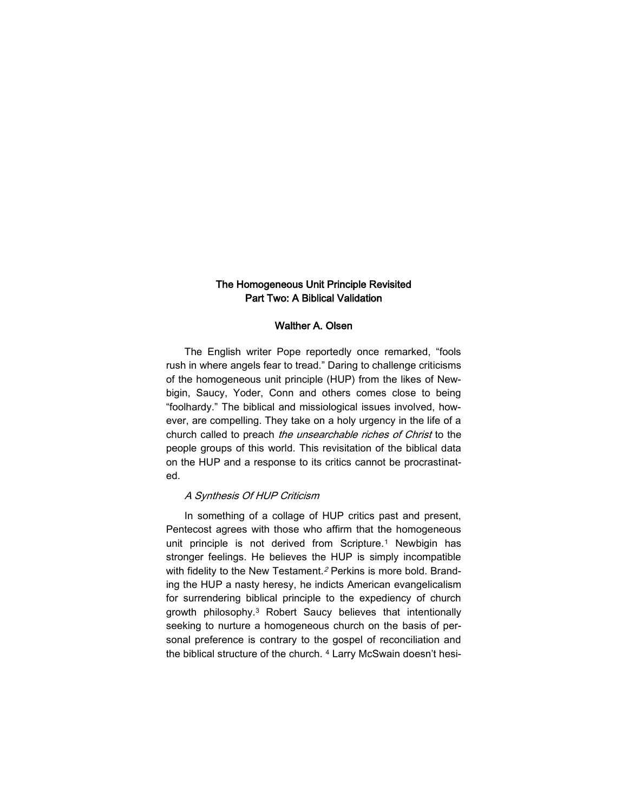# The Homogeneous Unit Principle Revisited Part Two: A Biblical Validation

#### Walther A. Olsen

The English writer Pope reportedly once remarked, "fools rush in where angels fear to tread." Daring to challenge criticisms of the homogeneous unit principle (HUP) from the likes of Newbigin, Saucy, Yoder, Conn and others comes close to being "foolhardy." The biblical and missiological issues involved, however, are compelling. They take on a holy urgency in the life of a church called to preach the unsearchable riches of Christ to the people groups of this world. This revisitation of the biblical data on the HUP and a response to its critics cannot be procrastinated.

## A Synthesis Of HUP Criticism

In something of a collage of HUP critics past and present, Pentecost agrees with those who affirm that the homogeneous unit principle is not derived from Scripture.<sup>1</sup> Newbigin has stronger feelings. He believes the HUP is simply incompatible with fidelity to the New Testament.<sup>2</sup> Perkins is more bold. Branding the HUP a nasty heresy, he indicts American evangelicalism for surrendering biblical principle to the expediency of church growth philosophy.<sup>3</sup> Robert Saucy believes that intentionally seeking to nurture a homogeneous church on the basis of personal preference is contrary to the gospel of reconciliation and the biblical structure of the church. <sup>4</sup> Larry McSwain doesn't hesi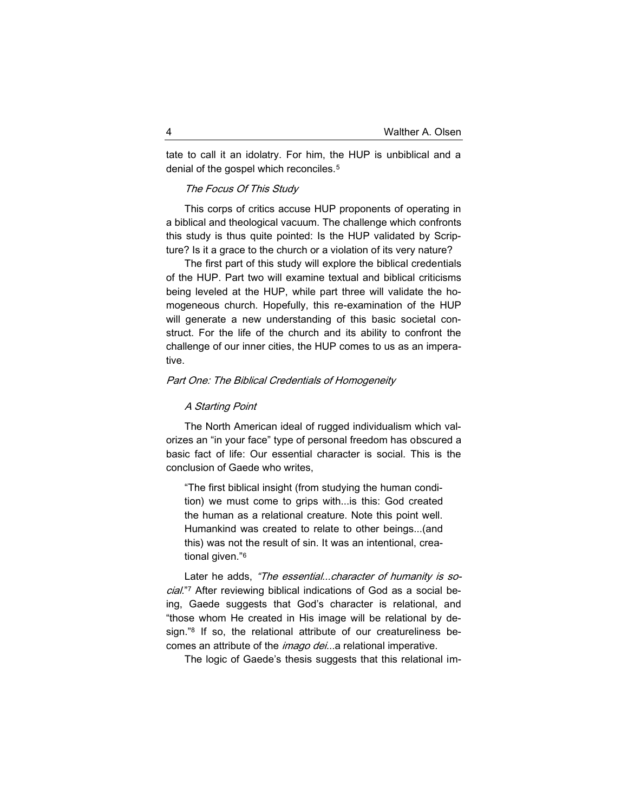tate to call it an idolatry. For him, the HUP is unbiblical and a denial of the gospel which reconciles.<sup>5</sup>

## The Focus Of This Study

This corps of critics accuse HUP proponents of operating in a biblical and theological vacuum. The challenge which confronts this study is thus quite pointed: Is the HUP validated by Scripture? Is it a grace to the church or a violation of its very nature?

The first part of this study will explore the biblical credentials of the HUP. Part two will examine textual and biblical criticisms being leveled at the HUP, while part three will validate the homogeneous church. Hopefully, this re-examination of the HUP will generate a new understanding of this basic societal construct. For the life of the church and its ability to confront the challenge of our inner cities, the HUP comes to us as an imperative.

# Part One: The Biblical Credentials of Homogeneity

## A Starting Point

The North American ideal of rugged individualism which valorizes an "in your face" type of personal freedom has obscured a basic fact of life: Our essential character is social. This is the conclusion of Gaede who writes,

"The first biblical insight (from studying the human condition) we must come to grips with...is this: God created the human as a relational creature. Note this point well. Humankind was created to relate to other beings...(and this) was not the result of sin. It was an intentional, creational given."<sup>6</sup>

Later he adds, "The essential...character of humanity is social."<sup>7</sup> After reviewing biblical indications of God as a social being, Gaede suggests that God's character is relational, and "those whom He created in His image will be relational by design."<sup>8</sup> If so, the relational attribute of our creatureliness becomes an attribute of the *imago dei...*a relational imperative.

The logic of Gaede's thesis suggests that this relational im-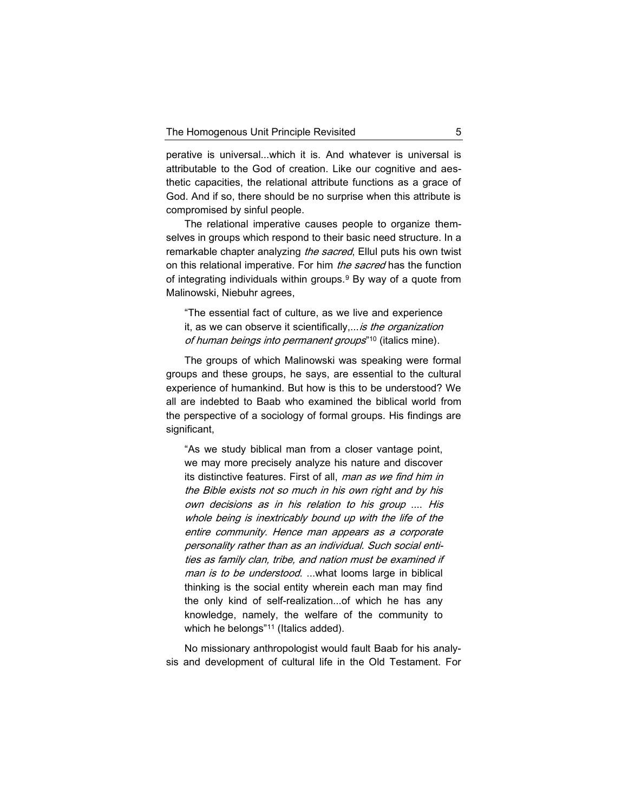perative is universal...which it is. And whatever is universal is attributable to the God of creation. Like our cognitive and aesthetic capacities, the relational attribute functions as a grace of God. And if so, there should be no surprise when this attribute is compromised by sinful people.

The relational imperative causes people to organize themselves in groups which respond to their basic need structure. In a remarkable chapter analyzing *the sacred*, Ellul puts his own twist on this relational imperative. For him the sacred has the function of integrating individuals within groups.<sup>9</sup> By way of a quote from Malinowski, Niebuhr agrees,

"The essential fact of culture, as we live and experience it, as we can observe it scientifically,... is the organization of human beings into permanent groups"<sup>10</sup> (italics mine).

The groups of which Malinowski was speaking were formal groups and these groups, he says, are essential to the cultural experience of humankind. But how is this to be understood? We all are indebted to Baab who examined the biblical world from the perspective of a sociology of formal groups. His findings are significant,

"As we study biblical man from a closer vantage point, we may more precisely analyze his nature and discover its distinctive features. First of all, man as we find him in the Bible exists not so much in his own right and by his own decisions as in his relation to his group .... His whole being is inextricably bound up with the life of the entire community. Hence man appears as a corporate personality rather than as an individual. Such social entities as family clan, tribe, and nation must be examined if man is to be understood. ...what looms large in biblical thinking is the social entity wherein each man may find the only kind of self-realization...of which he has any knowledge, namely, the welfare of the community to which he belongs"<sup>11</sup> (Italics added).

No missionary anthropologist would fault Baab for his analysis and development of cultural life in the Old Testament. For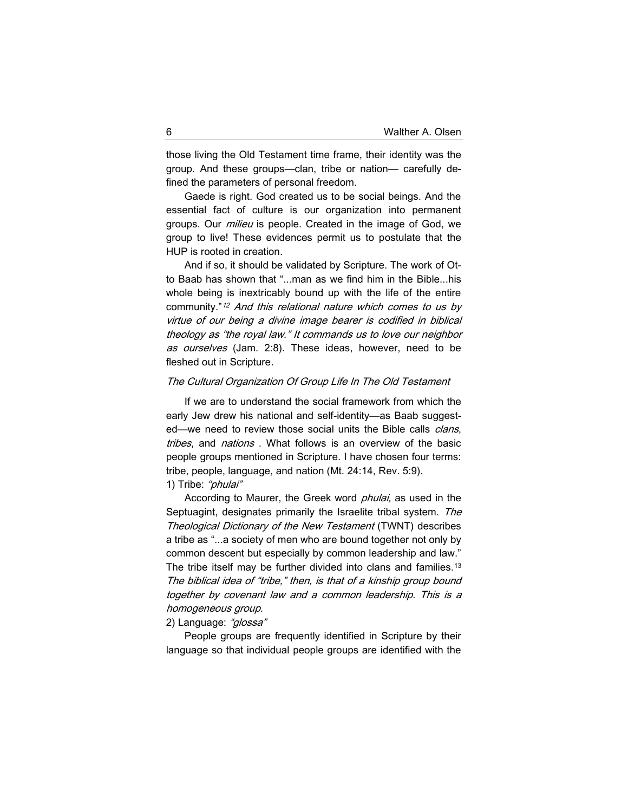those living the Old Testament time frame, their identity was the group. And these groups—clan, tribe or nation— carefully defined the parameters of personal freedom.

Gaede is right. God created us to be social beings. And the essential fact of culture is our organization into permanent groups. Our *milieu* is people. Created in the image of God, we group to live! These evidences permit us to postulate that the HUP is rooted in creation.

And if so, it should be validated by Scripture. The work of Otto Baab has shown that "...man as we find him in the Bible...his whole being is inextricably bound up with the life of the entire community."<sup>12</sup> And this relational nature which comes to us by virtue of our being a divine image bearer is codified in biblical theology as "the royal law." It commands us to love our neighbor as ourselves (Jam. 2:8). These ideas, however, need to be fleshed out in Scripture.

### The Cultural Organization Of Group Life In The Old Testament

If we are to understand the social framework from which the early Jew drew his national and self-identity—as Baab suggested—we need to review those social units the Bible calls *clans*, tribes, and nations. What follows is an overview of the basic people groups mentioned in Scripture. I have chosen four terms: tribe, people, language, and nation (Mt. 24:14, Rev. 5:9).

1) Tribe: "phulai"

According to Maurer, the Greek word *phulai*, as used in the Septuagint, designates primarily the Israelite tribal system. The Theological Dictionary of the New Testament (TWNT) describes a tribe as "...a society of men who are bound together not only by common descent but especially by common leadership and law." The tribe itself may be further divided into clans and families.<sup>13</sup> The biblical idea of "tribe," then, is that of a kinship group bound together by covenant law and a common leadership. This is a homogeneous group.

### 2) Language: "glossa"

People groups are frequently identified in Scripture by their language so that individual people groups are identified with the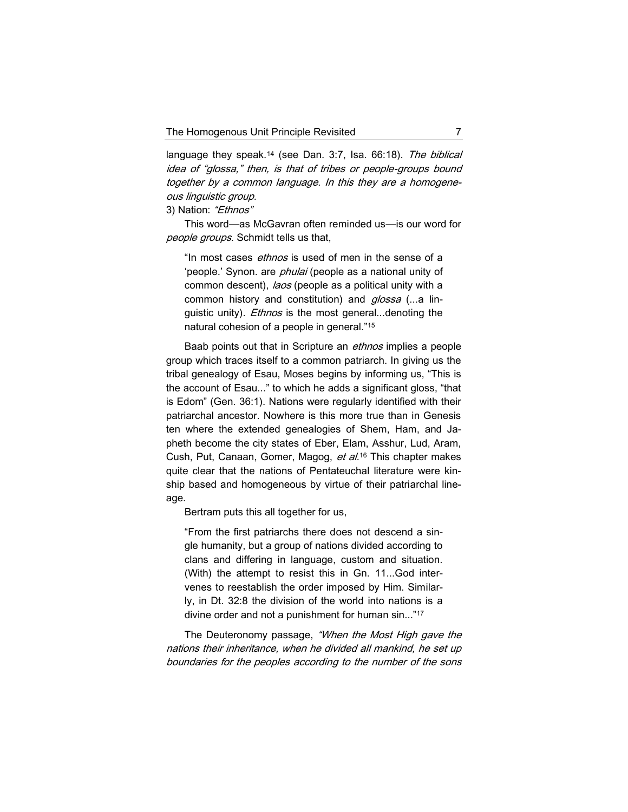language they speak.<sup>14</sup> (see Dan. 3:7, Isa. 66:18). The biblical idea of "glossa," then, is that of tribes or people-groups bound together by a common language. In this they are a homogeneous linguistic group.

3) Nation: "Ethnos"

This word—as McGavran often reminded us—is our word for people groups. Schmidt tells us that,

"In most cases ethnos is used of men in the sense of a 'people.' Synon. are *phulai* (people as a national unity of common descent), laos (people as a political unity with a common history and constitution) and glossa (...a linguistic unity). *Ethnos* is the most general...denoting the natural cohesion of a people in general."<sup>15</sup>

Baab points out that in Scripture an *ethnos* implies a people group which traces itself to a common patriarch. In giving us the tribal genealogy of Esau, Moses begins by informing us, "This is the account of Esau..." to which he adds a significant gloss, "that is Edom" (Gen. 36:1). Nations were regularly identified with their patriarchal ancestor. Nowhere is this more true than in Genesis ten where the extended genealogies of Shem, Ham, and Japheth become the city states of Eber, Elam, Asshur, Lud, Aram, Cush, Put, Canaan, Gomer, Magog, et al.<sup>16</sup> This chapter makes quite clear that the nations of Pentateuchal literature were kinship based and homogeneous by virtue of their patriarchal lineage.

Bertram puts this all together for us,

"From the first patriarchs there does not descend a single humanity, but a group of nations divided according to clans and differing in language, custom and situation. (With) the attempt to resist this in Gn. 11...God intervenes to reestablish the order imposed by Him. Similarly, in Dt. 32:8 the division of the world into nations is a divine order and not a punishment for human sin..."<sup>17</sup>

The Deuteronomy passage, "When the Most High gave the nations their inheritance, when he divided all mankind, he set up boundaries for the peoples according to the number of the sons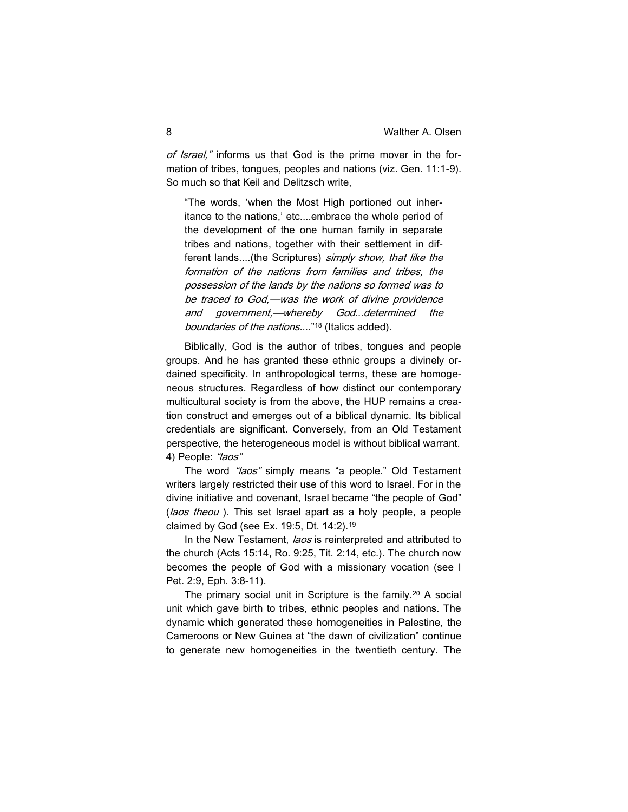of Israel," informs us that God is the prime mover in the formation of tribes, tongues, peoples and nations (viz. Gen. 11:1-9). So much so that Keil and Delitzsch write,

"The words, 'when the Most High portioned out inheritance to the nations,' etc....embrace the whole period of the development of the one human family in separate tribes and nations, together with their settlement in different lands....(the Scriptures) simply show, that like the formation of the nations from families and tribes, the possession of the lands by the nations so formed was to be traced to God,—was the work of divine providence and government,—whereby God...determined the boundaries of the nations...."<sup>18</sup> (Italics added).

Biblically, God is the author of tribes, tongues and people groups. And he has granted these ethnic groups a divinely ordained specificity. In anthropological terms, these are homogeneous structures. Regardless of how distinct our contemporary multicultural society is from the above, the HUP remains a creation construct and emerges out of a biblical dynamic. Its biblical credentials are significant. Conversely, from an Old Testament perspective, the heterogeneous model is without biblical warrant. 4) People: "laos"

The word *"laos"* simply means "a people." Old Testament writers largely restricted their use of this word to Israel. For in the divine initiative and covenant, Israel became "the people of God" (laos theou). This set Israel apart as a holy people, a people claimed by God (see Ex. 19:5, Dt. 14:2).<sup>19</sup>

In the New Testament, laos is reinterpreted and attributed to the church (Acts 15:14, Ro. 9:25, Tit. 2:14, etc.). The church now becomes the people of God with a missionary vocation (see I Pet. 2:9, Eph. 3:8-11).

The primary social unit in Scripture is the family.<sup>20</sup> A social unit which gave birth to tribes, ethnic peoples and nations. The dynamic which generated these homogeneities in Palestine, the Cameroons or New Guinea at "the dawn of civilization" continue to generate new homogeneities in the twentieth century. The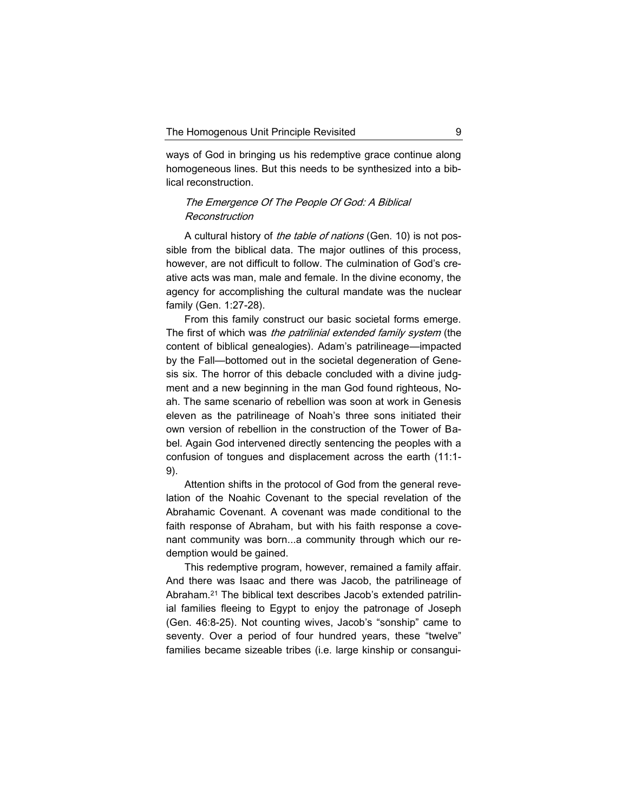ways of God in bringing us his redemptive grace continue along homogeneous lines. But this needs to be synthesized into a biblical reconstruction.

# The Emergence Of The People Of God: A Biblical Reconstruction

A cultural history of the table of nations (Gen. 10) is not possible from the biblical data. The major outlines of this process, however, are not difficult to follow. The culmination of God's creative acts was man, male and female. In the divine economy, the agency for accomplishing the cultural mandate was the nuclear family (Gen. 1:27-28).

From this family construct our basic societal forms emerge. The first of which was the patrilinial extended family system (the content of biblical genealogies). Adam's patrilineage—impacted by the Fall—bottomed out in the societal degeneration of Genesis six. The horror of this debacle concluded with a divine judgment and a new beginning in the man God found righteous, Noah. The same scenario of rebellion was soon at work in Genesis eleven as the patrilineage of Noah's three sons initiated their own version of rebellion in the construction of the Tower of Babel. Again God intervened directly sentencing the peoples with a confusion of tongues and displacement across the earth (11:1- 9).

Attention shifts in the protocol of God from the general revelation of the Noahic Covenant to the special revelation of the Abrahamic Covenant. A covenant was made conditional to the faith response of Abraham, but with his faith response a covenant community was born...a community through which our redemption would be gained.

This redemptive program, however, remained a family affair. And there was Isaac and there was Jacob, the patrilineage of Abraham.<sup>21</sup> The biblical text describes Jacob's extended patrilinial families fleeing to Egypt to enjoy the patronage of Joseph (Gen. 46:8-25). Not counting wives, Jacob's "sonship" came to seventy. Over a period of four hundred years, these "twelve" families became sizeable tribes (i.e. large kinship or consangui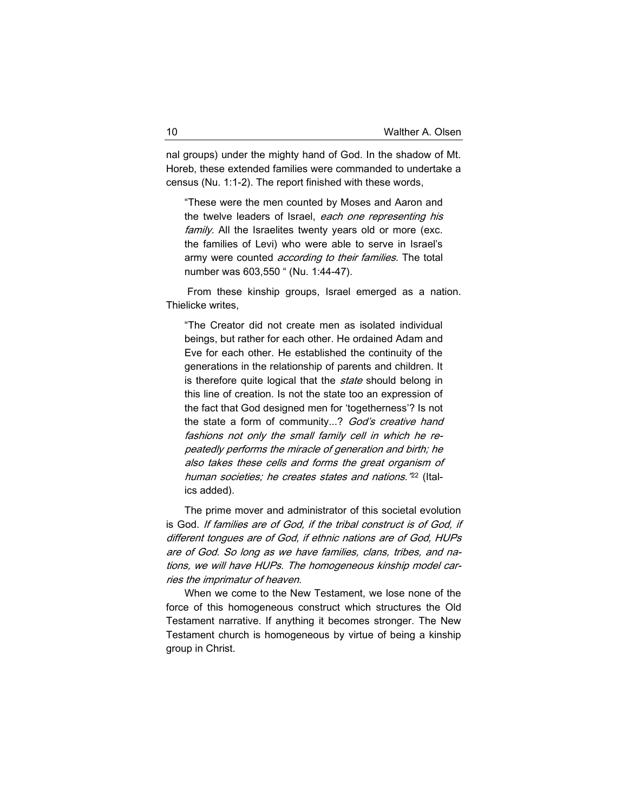nal groups) under the mighty hand of God. In the shadow of Mt. Horeb, these extended families were commanded to undertake a census (Nu. 1:1-2). The report finished with these words,

"These were the men counted by Moses and Aaron and the twelve leaders of Israel, each one representing his family. All the Israelites twenty years old or more (exc. the families of Levi) who were able to serve in Israel's army were counted *according to their families*. The total number was 603,550 " (Nu. 1:44-47).

From these kinship groups, Israel emerged as a nation. Thielicke writes,

"The Creator did not create men as isolated individual beings, but rather for each other. He ordained Adam and Eve for each other. He established the continuity of the generations in the relationship of parents and children. It is therefore quite logical that the *state* should belong in this line of creation. Is not the state too an expression of the fact that God designed men for 'togetherness'? Is not the state a form of community...? God's creative hand fashions not only the small family cell in which he repeatedly performs the miracle of generation and birth; he also takes these cells and forms the great organism of human societies; he creates states and nations."<sup>22</sup> (Italics added).

The prime mover and administrator of this societal evolution is God. If families are of God, if the tribal construct is of God, if different tongues are of God, if ethnic nations are of God, HUPs are of God. So long as we have families, clans, tribes, and nations, we will have HUPs. The homogeneous kinship model carries the imprimatur of heaven.

When we come to the New Testament, we lose none of the force of this homogeneous construct which structures the Old Testament narrative. If anything it becomes stronger. The New Testament church is homogeneous by virtue of being a kinship group in Christ.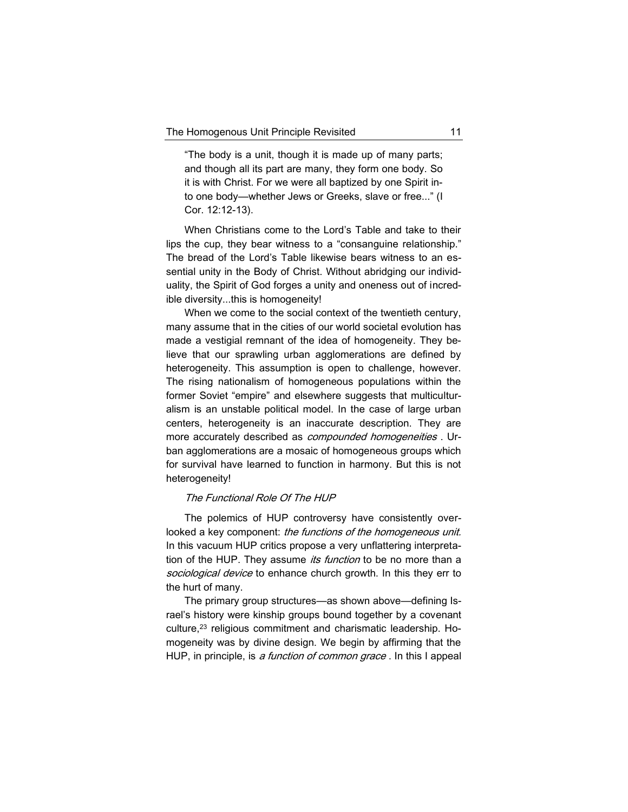"The body is a unit, though it is made up of many parts; and though all its part are many, they form one body. So it is with Christ. For we were all baptized by one Spirit into one body—whether Jews or Greeks, slave or free..." (I Cor. 12:12-13).

When Christians come to the Lord's Table and take to their lips the cup, they bear witness to a "consanguine relationship." The bread of the Lord's Table likewise bears witness to an essential unity in the Body of Christ. Without abridging our individuality, the Spirit of God forges a unity and oneness out of incredible diversity...this is homogeneity!

When we come to the social context of the twentieth century, many assume that in the cities of our world societal evolution has made a vestigial remnant of the idea of homogeneity. They believe that our sprawling urban agglomerations are defined by heterogeneity. This assumption is open to challenge, however. The rising nationalism of homogeneous populations within the former Soviet "empire" and elsewhere suggests that multiculturalism is an unstable political model. In the case of large urban centers, heterogeneity is an inaccurate description. They are more accurately described as *compounded homogeneities*. Urban agglomerations are a mosaic of homogeneous groups which for survival have learned to function in harmony. But this is not heterogeneity!

## The Functional Role Of The HUP

The polemics of HUP controversy have consistently overlooked a key component: the functions of the homogeneous unit. In this vacuum HUP critics propose a very unflattering interpretation of the HUP. They assume *its function* to be no more than a sociological device to enhance church growth. In this they err to the hurt of many.

The primary group structures—as shown above—defining Israel's history were kinship groups bound together by a covenant culture,<sup>23</sup> religious commitment and charismatic leadership. Homogeneity was by divine design. We begin by affirming that the HUP, in principle, is a function of common grace . In this I appeal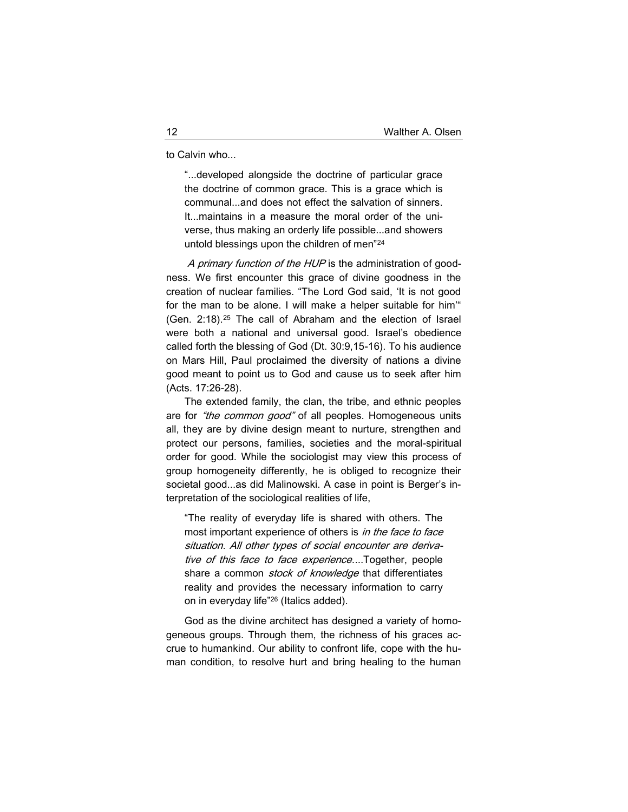to Calvin who...

"...developed alongside the doctrine of particular grace the doctrine of common grace. This is a grace which is communal...and does not effect the salvation of sinners. It...maintains in a measure the moral order of the universe, thus making an orderly life possible...and showers untold blessings upon the children of men"<sup>24</sup>

A primary function of the HUP is the administration of goodness. We first encounter this grace of divine goodness in the creation of nuclear families. "The Lord God said, 'It is not good for the man to be alone. I will make a helper suitable for him'" (Gen. 2:18).<sup>25</sup> The call of Abraham and the election of Israel were both a national and universal good. Israel's obedience called forth the blessing of God (Dt. 30:9,15-16). To his audience on Mars Hill, Paul proclaimed the diversity of nations a divine good meant to point us to God and cause us to seek after him (Acts. 17:26-28).

The extended family, the clan, the tribe, and ethnic peoples are for "the common good" of all peoples. Homogeneous units all, they are by divine design meant to nurture, strengthen and protect our persons, families, societies and the moral-spiritual order for good. While the sociologist may view this process of group homogeneity differently, he is obliged to recognize their societal good...as did Malinowski. A case in point is Berger's interpretation of the sociological realities of life,

"The reality of everyday life is shared with others. The most important experience of others is in the face to face situation. All other types of social encounter are derivative of this face to face experience....Together, people share a common *stock of knowledge* that differentiates reality and provides the necessary information to carry on in everyday life"<sup>26</sup> (Italics added).

God as the divine architect has designed a variety of homogeneous groups. Through them, the richness of his graces accrue to humankind. Our ability to confront life, cope with the human condition, to resolve hurt and bring healing to the human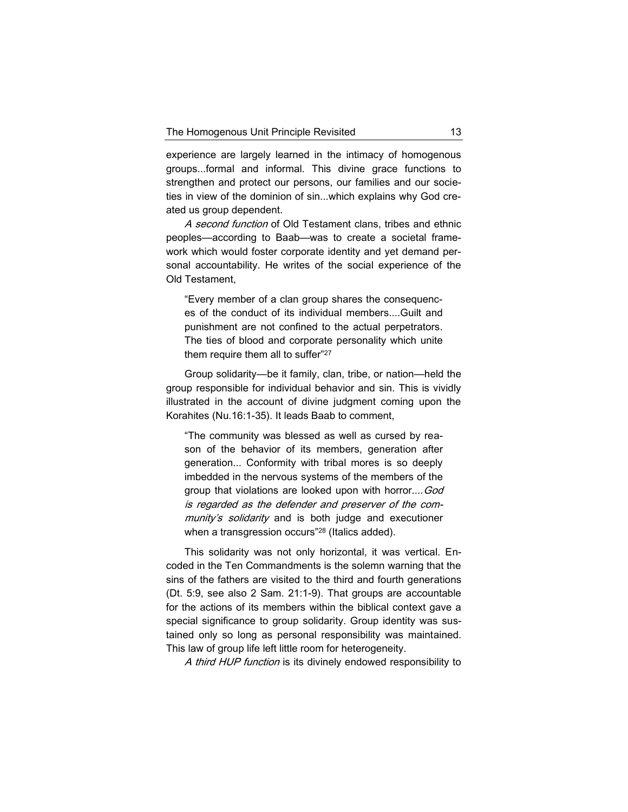experience are largely learned in the intimacy of homogenous groups...formal and informal. This divine grace functions to strengthen and protect our persons, our families and our societies in view of the dominion of sin...which explains why God created us group dependent.

A second function of Old Testament clans, tribes and ethnic peoples—according to Baab—was to create a societal framework which would foster corporate identity and yet demand personal accountability. He writes of the social experience of the Old Testament,

"Every member of a clan group shares the consequences of the conduct of its individual members....Guilt and punishment are not confined to the actual perpetrators. The ties of blood and corporate personality which unite them require them all to suffer"<sup>27</sup>

Group solidarity—be it family, clan, tribe, or nation—held the group responsible for individual behavior and sin. This is vividly illustrated in the account of divine judgment coming upon the Korahites (Nu.16:1-35). It leads Baab to comment,

"The community was blessed as well as cursed by reason of the behavior of its members, generation after generation... Conformity with tribal mores is so deeply imbedded in the nervous systems of the members of the group that violations are looked upon with horror.... God is regarded as the defender and preserver of the community's solidarity and is both judge and executioner when a transgression occurs"<sup>28</sup> (Italics added).

This solidarity was not only horizontal, it was vertical. Encoded in the Ten Commandments is the solemn warning that the sins of the fathers are visited to the third and fourth generations (Dt. 5:9, see also 2 Sam. 21:1-9). That groups are accountable for the actions of its members within the biblical context gave a special significance to group solidarity. Group identity was sustained only so long as personal responsibility was maintained. This law of group life left little room for heterogeneity.

A third HUP function is its divinely endowed responsibility to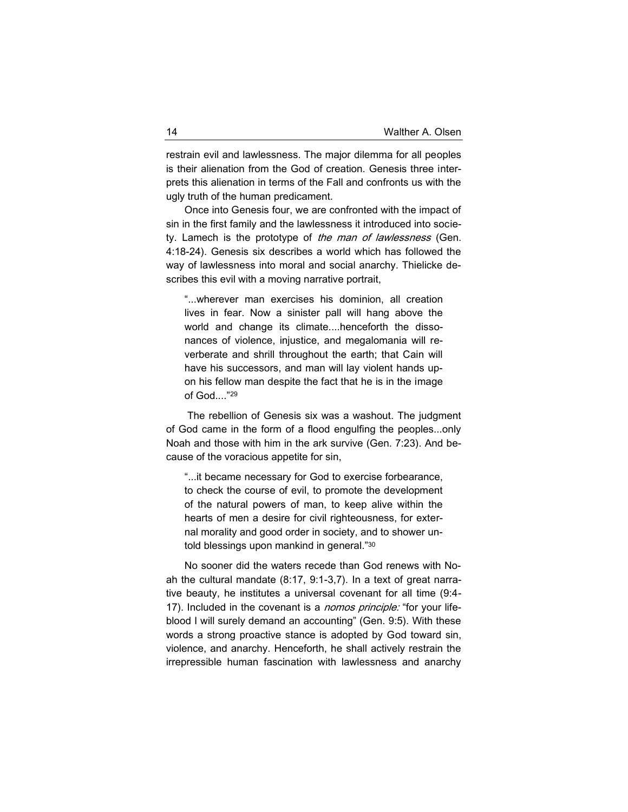restrain evil and lawlessness. The major dilemma for all peoples is their alienation from the God of creation. Genesis three interprets this alienation in terms of the Fall and confronts us with the ugly truth of the human predicament.

Once into Genesis four, we are confronted with the impact of sin in the first family and the lawlessness it introduced into society. Lamech is the prototype of the man of lawlessness (Gen. 4:18-24). Genesis six describes a world which has followed the way of lawlessness into moral and social anarchy. Thielicke describes this evil with a moving narrative portrait,

"...wherever man exercises his dominion, all creation lives in fear. Now a sinister pall will hang above the world and change its climate....henceforth the dissonances of violence, injustice, and megalomania will reverberate and shrill throughout the earth; that Cain will have his successors, and man will lay violent hands upon his fellow man despite the fact that he is in the image of God...."<sup>29</sup>

The rebellion of Genesis six was a washout. The judgment of God came in the form of a flood engulfing the peoples...only Noah and those with him in the ark survive (Gen. 7:23). And because of the voracious appetite for sin,

"...it became necessary for God to exercise forbearance, to check the course of evil, to promote the development of the natural powers of man, to keep alive within the hearts of men a desire for civil righteousness, for external morality and good order in society, and to shower untold blessings upon mankind in general."<sup>30</sup>

No sooner did the waters recede than God renews with Noah the cultural mandate (8:17, 9:1-3,7). In a text of great narrative beauty, he institutes a universal covenant for all time (9:4- 17). Included in the covenant is a *nomos principle:* "for your lifeblood I will surely demand an accounting" (Gen. 9:5). With these words a strong proactive stance is adopted by God toward sin, violence, and anarchy. Henceforth, he shall actively restrain the irrepressible human fascination with lawlessness and anarchy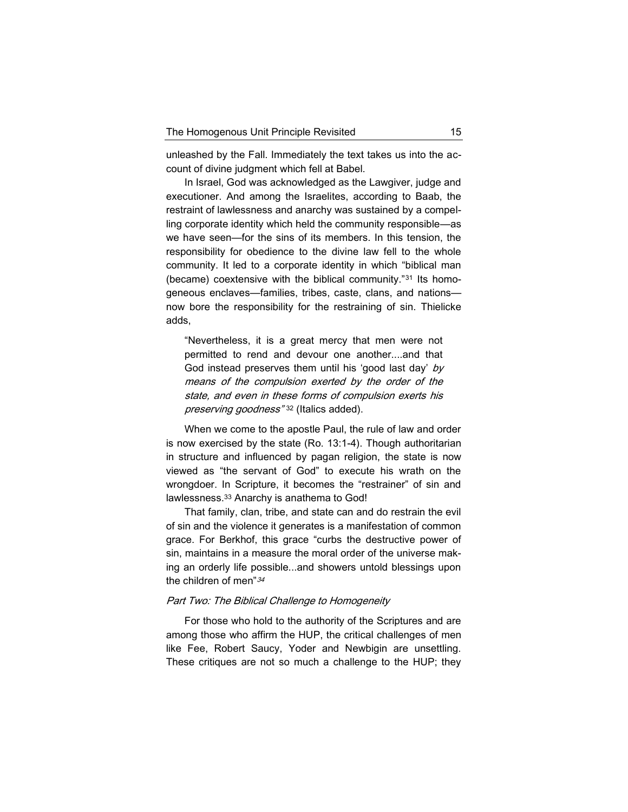unleashed by the Fall. Immediately the text takes us into the account of divine judgment which fell at Babel.

In Israel, God was acknowledged as the Lawgiver, judge and executioner. And among the Israelites, according to Baab, the restraint of lawlessness and anarchy was sustained by a compelling corporate identity which held the community responsible—as we have seen—for the sins of its members. In this tension, the responsibility for obedience to the divine law fell to the whole community. It led to a corporate identity in which "biblical man (became) coextensive with the biblical community."<sup>31</sup> Its homogeneous enclaves—families, tribes, caste, clans, and nations now bore the responsibility for the restraining of sin. Thielicke adds,

"Nevertheless, it is a great mercy that men were not permitted to rend and devour one another....and that God instead preserves them until his 'good last day' by means of the compulsion exerted by the order of the state, and even in these forms of compulsion exerts his preserving goodness"<sup>32</sup> (Italics added).

When we come to the apostle Paul, the rule of law and order is now exercised by the state (Ro. 13:1-4). Though authoritarian in structure and influenced by pagan religion, the state is now viewed as "the servant of God" to execute his wrath on the wrongdoer. In Scripture, it becomes the "restrainer" of sin and lawlessness.<sup>33</sup> Anarchy is anathema to God!

That family, clan, tribe, and state can and do restrain the evil of sin and the violence it generates is a manifestation of common grace. For Berkhof, this grace "curbs the destructive power of sin, maintains in a measure the moral order of the universe making an orderly life possible...and showers untold blessings upon the children of men" 34

## Part Two: The Biblical Challenge to Homogeneity

For those who hold to the authority of the Scriptures and are among those who affirm the HUP, the critical challenges of men like Fee, Robert Saucy, Yoder and Newbigin are unsettling. These critiques are not so much a challenge to the HUP; they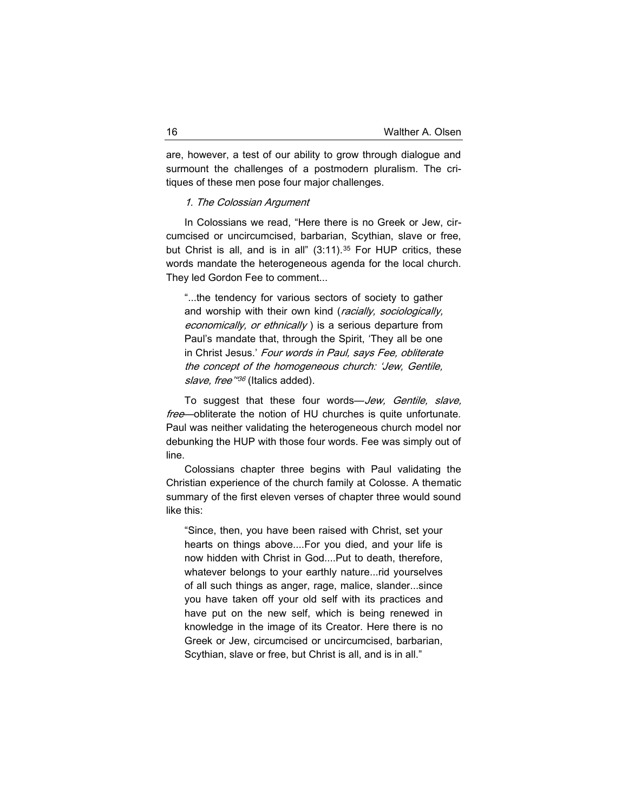are, however, a test of our ability to grow through dialogue and surmount the challenges of a postmodern pluralism. The critiques of these men pose four major challenges.

## 1. The Colossian Argument

In Colossians we read, "Here there is no Greek or Jew, circumcised or uncircumcised, barbarian, Scythian, slave or free, but Christ is all, and is in all"  $(3:11).^{35}$  For HUP critics, these words mandate the heterogeneous agenda for the local church. They led Gordon Fee to comment...

"...the tendency for various sectors of society to gather and worship with their own kind (racially, sociologically, economically, or ethnically) is a serious departure from Paul's mandate that, through the Spirit, 'They all be one in Christ Jesus.' Four words in Paul, says Fee, obliterate the concept of the homogeneous church: 'Jew, Gentile, slave, free<sup>"36</sup> (Italics added).

To suggest that these four words—Jew, Gentile, slave, free-obliterate the notion of HU churches is quite unfortunate. Paul was neither validating the heterogeneous church model nor debunking the HUP with those four words. Fee was simply out of line.

Colossians chapter three begins with Paul validating the Christian experience of the church family at Colosse. A thematic summary of the first eleven verses of chapter three would sound like this:

"Since, then, you have been raised with Christ, set your hearts on things above....For you died, and your life is now hidden with Christ in God....Put to death, therefore, whatever belongs to your earthly nature...rid yourselves of all such things as anger, rage, malice, slander...since you have taken off your old self with its practices and have put on the new self, which is being renewed in knowledge in the image of its Creator. Here there is no Greek or Jew, circumcised or uncircumcised, barbarian, Scythian, slave or free, but Christ is all, and is in all."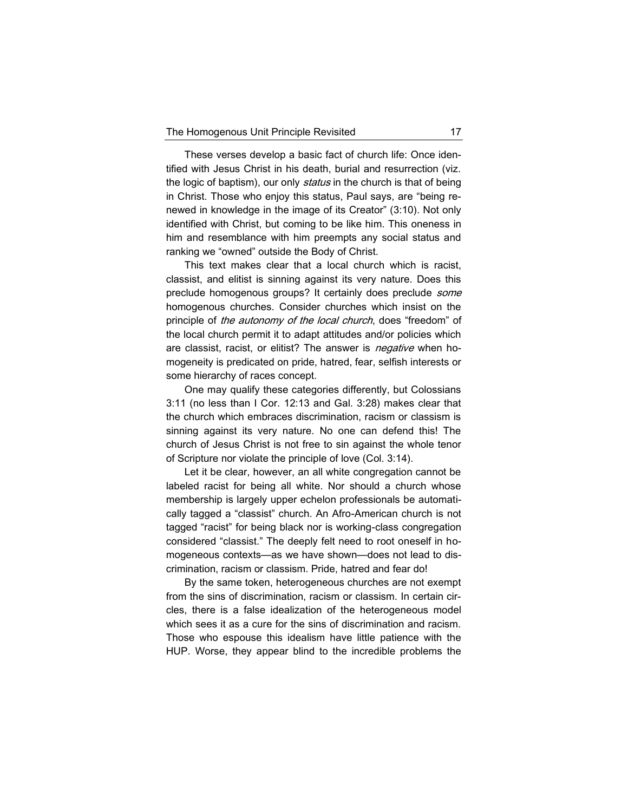These verses develop a basic fact of church life: Once identified with Jesus Christ in his death, burial and resurrection (viz. the logic of baptism), our only *status* in the church is that of being in Christ. Those who enjoy this status, Paul says, are "being renewed in knowledge in the image of its Creator" (3:10). Not only identified with Christ, but coming to be like him. This oneness in him and resemblance with him preempts any social status and ranking we "owned" outside the Body of Christ.

This text makes clear that a local church which is racist, classist, and elitist is sinning against its very nature. Does this preclude homogenous groups? It certainly does preclude some homogenous churches. Consider churches which insist on the principle of the autonomy of the local church, does "freedom" of the local church permit it to adapt attitudes and/or policies which are classist, racist, or elitist? The answer is *negative* when homogeneity is predicated on pride, hatred, fear, selfish interests or some hierarchy of races concept.

One may qualify these categories differently, but Colossians 3:11 (no less than I Cor. 12:13 and Gal. 3:28) makes clear that the church which embraces discrimination, racism or classism is sinning against its very nature. No one can defend this! The church of Jesus Christ is not free to sin against the whole tenor of Scripture nor violate the principle of love (Col. 3:14).

Let it be clear, however, an all white congregation cannot be labeled racist for being all white. Nor should a church whose membership is largely upper echelon professionals be automatically tagged a "classist" church. An Afro-American church is not tagged "racist" for being black nor is working-class congregation considered "classist." The deeply felt need to root oneself in homogeneous contexts—as we have shown—does not lead to discrimination, racism or classism. Pride, hatred and fear do!

By the same token, heterogeneous churches are not exempt from the sins of discrimination, racism or classism. In certain circles, there is a false idealization of the heterogeneous model which sees it as a cure for the sins of discrimination and racism. Those who espouse this idealism have little patience with the HUP. Worse, they appear blind to the incredible problems the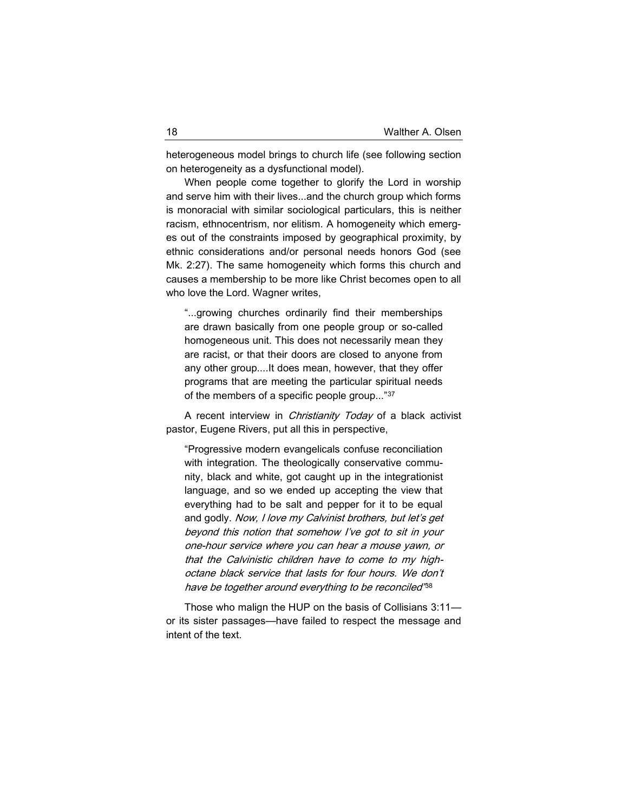heterogeneous model brings to church life (see following section on heterogeneity as a dysfunctional model).

When people come together to glorify the Lord in worship and serve him with their lives...and the church group which forms is monoracial with similar sociological particulars, this is neither racism, ethnocentrism, nor elitism. A homogeneity which emerges out of the constraints imposed by geographical proximity, by ethnic considerations and/or personal needs honors God (see Mk. 2:27). The same homogeneity which forms this church and causes a membership to be more like Christ becomes open to all who love the Lord. Wagner writes,

"...growing churches ordinarily find their memberships are drawn basically from one people group or so-called homogeneous unit. This does not necessarily mean they are racist, or that their doors are closed to anyone from any other group....It does mean, however, that they offer programs that are meeting the particular spiritual needs of the members of a specific people group..."<sup>37</sup>

A recent interview in *Christianity Today* of a black activist pastor, Eugene Rivers, put all this in perspective,

"Progressive modern evangelicals confuse reconciliation with integration. The theologically conservative community, black and white, got caught up in the integrationist language, and so we ended up accepting the view that everything had to be salt and pepper for it to be equal and godly. Now, I love my Calvinist brothers, but let's get beyond this notion that somehow I've got to sit in your one-hour service where you can hear a mouse yawn, or that the Calvinistic children have to come to my highoctane black service that lasts for four hours. We don't have be together around everything to be reconciled" 38

Those who malign the HUP on the basis of Collisians 3:11 or its sister passages—have failed to respect the message and intent of the text.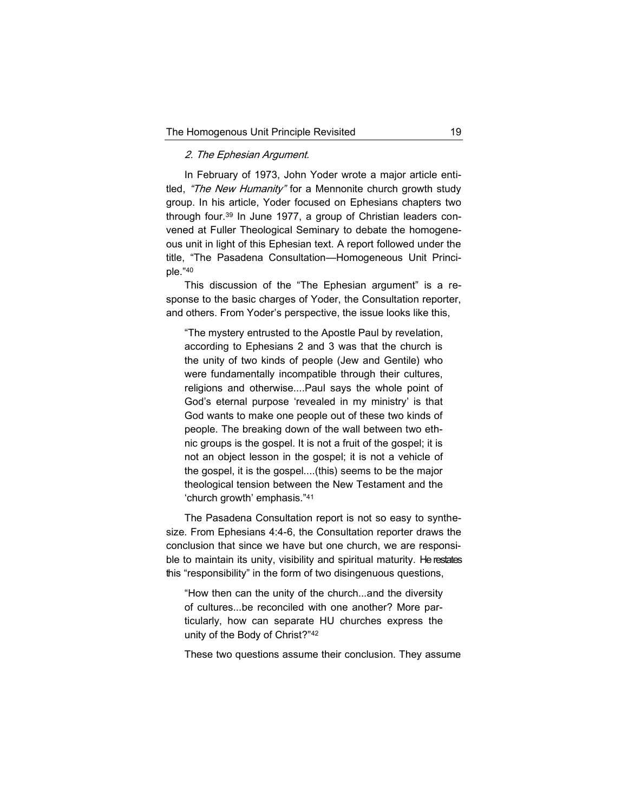## 2. The Ephesian Argument.

In February of 1973, John Yoder wrote a major article entitled, "The New Humanity" for a Mennonite church growth study group. In his article, Yoder focused on Ephesians chapters two through four.<sup>39</sup> In June 1977, a group of Christian leaders convened at Fuller Theological Seminary to debate the homogeneous unit in light of this Ephesian text. A report followed under the title, "The Pasadena Consultation—Homogeneous Unit Principle."<sup>40</sup>

This discussion of the "The Ephesian argument" is a response to the basic charges of Yoder, the Consultation reporter, and others. From Yoder's perspective, the issue looks like this,

"The mystery entrusted to the Apostle Paul by revelation, according to Ephesians 2 and 3 was that the church is the unity of two kinds of people (Jew and Gentile) who were fundamentally incompatible through their cultures, religions and otherwise....Paul says the whole point of God's eternal purpose 'revealed in my ministry' is that God wants to make one people out of these two kinds of people. The breaking down of the wall between two ethnic groups is the gospel. It is not a fruit of the gospel; it is not an object lesson in the gospel; it is not a vehicle of the gospel, it is the gospel....(this) seems to be the major theological tension between the New Testament and the 'church growth' emphasis."<sup>41</sup>

The Pasadena Consultation report is not so easy to synthesize. From Ephesians 4:4-6, the Consultation reporter draws the conclusion that since we have but one church, we are responsible to maintain its unity, visibility and spiritual maturity. He restates this "responsibility" in the form of two disingenuous questions,

"How then can the unity of the church...and the diversity of cultures...be reconciled with one another? More particularly, how can separate HU churches express the unity of the Body of Christ?"<sup>42</sup>

These two questions assume their conclusion. They assume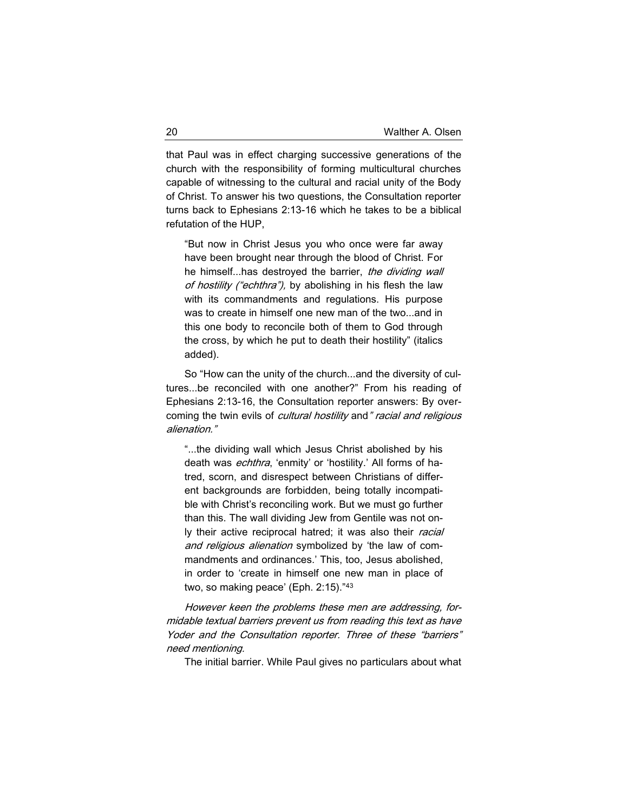that Paul was in effect charging successive generations of the church with the responsibility of forming multicultural churches capable of witnessing to the cultural and racial unity of the Body of Christ. To answer his two questions, the Consultation reporter turns back to Ephesians 2:13-16 which he takes to be a biblical refutation of the HUP,

"But now in Christ Jesus you who once were far away have been brought near through the blood of Christ. For he himself...has destroyed the barrier, the dividing wall of hostility ("echthra"), by abolishing in his flesh the law with its commandments and regulations. His purpose was to create in himself one new man of the two...and in this one body to reconcile both of them to God through the cross, by which he put to death their hostility" (italics added).

So "How can the unity of the church...and the diversity of cultures...be reconciled with one another?" From his reading of Ephesians 2:13-16, the Consultation reporter answers: By overcoming the twin evils of *cultural hostility* and " racial and religious alienation."

"...the dividing wall which Jesus Christ abolished by his death was *echthra*, 'enmity' or 'hostility.' All forms of hatred, scorn, and disrespect between Christians of different backgrounds are forbidden, being totally incompatible with Christ's reconciling work. But we must go further than this. The wall dividing Jew from Gentile was not only their active reciprocal hatred; it was also their racial and religious alienation symbolized by 'the law of commandments and ordinances.' This, too, Jesus abolished, in order to 'create in himself one new man in place of two, so making peace' (Eph. 2:15)."<sup>43</sup>

However keen the problems these men are addressing, formidable textual barriers prevent us from reading this text as have Yoder and the Consultation reporter. Three of these "barriers" need mentioning.

The initial barrier. While Paul gives no particulars about what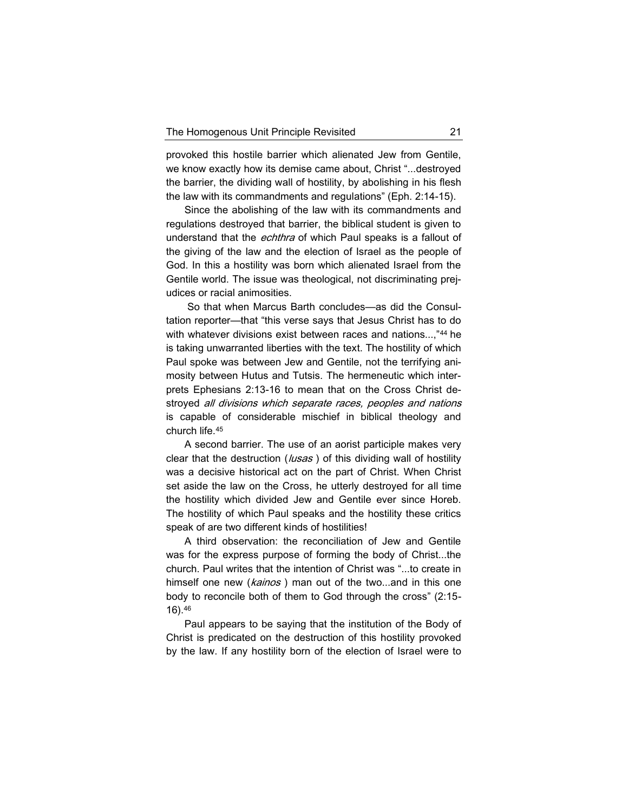provoked this hostile barrier which alienated Jew from Gentile, we know exactly how its demise came about, Christ "...destroyed the barrier, the dividing wall of hostility, by abolishing in his flesh the law with its commandments and regulations" (Eph. 2:14-15).

Since the abolishing of the law with its commandments and regulations destroyed that barrier, the biblical student is given to understand that the echthra of which Paul speaks is a fallout of the giving of the law and the election of Israel as the people of God. In this a hostility was born which alienated Israel from the Gentile world. The issue was theological, not discriminating prejudices or racial animosities.

So that when Marcus Barth concludes—as did the Consultation reporter—that "this verse says that Jesus Christ has to do with whatever divisions exist between races and nations...,"<sup>44</sup> he is taking unwarranted liberties with the text. The hostility of which Paul spoke was between Jew and Gentile, not the terrifying animosity between Hutus and Tutsis. The hermeneutic which interprets Ephesians 2:13-16 to mean that on the Cross Christ destroyed all divisions which separate races, peoples and nations is capable of considerable mischief in biblical theology and church life.<sup>45</sup>

A second barrier. The use of an aorist participle makes very clear that the destruction ( $\mu$ sas) of this dividing wall of hostility was a decisive historical act on the part of Christ. When Christ set aside the law on the Cross, he utterly destroyed for all time the hostility which divided Jew and Gentile ever since Horeb. The hostility of which Paul speaks and the hostility these critics speak of are two different kinds of hostilities!

A third observation: the reconciliation of Jew and Gentile was for the express purpose of forming the body of Christ...the church. Paul writes that the intention of Christ was "...to create in himself one new (kainos) man out of the two...and in this one body to reconcile both of them to God through the cross" (2:15- 16).<sup>46</sup>

Paul appears to be saying that the institution of the Body of Christ is predicated on the destruction of this hostility provoked by the law. If any hostility born of the election of Israel were to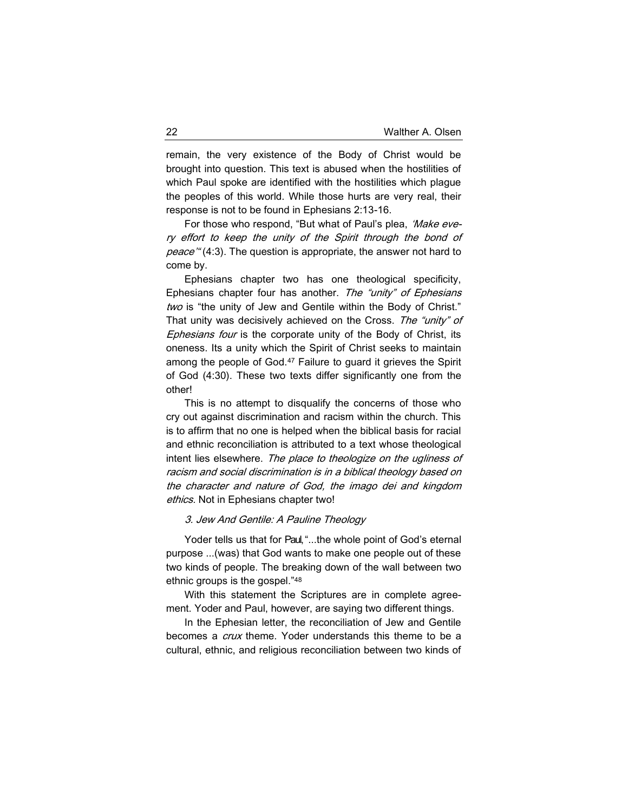remain, the very existence of the Body of Christ would be brought into question. This text is abused when the hostilities of which Paul spoke are identified with the hostilities which plague the peoples of this world. While those hurts are very real, their response is not to be found in Ephesians 2:13-16.

For those who respond, "But what of Paul's plea, 'Make every effort to keep the unity of the Spirit through the bond of peace" (4:3). The question is appropriate, the answer not hard to come by.

Ephesians chapter two has one theological specificity, Ephesians chapter four has another. The "unity" of Ephesians two is "the unity of Jew and Gentile within the Body of Christ." That unity was decisively achieved on the Cross. The "unity" of Ephesians four is the corporate unity of the Body of Christ, its oneness. Its a unity which the Spirit of Christ seeks to maintain among the people of God.<sup>47</sup> Failure to guard it grieves the Spirit of God (4:30). These two texts differ significantly one from the other!

This is no attempt to disqualify the concerns of those who cry out against discrimination and racism within the church. This is to affirm that no one is helped when the biblical basis for racial and ethnic reconciliation is attributed to a text whose theological intent lies elsewhere. The place to theologize on the ugliness of racism and social discrimination is in a biblical theology based on the character and nature of God, the imago dei and kingdom ethics. Not in Ephesians chapter two!

### 3. Jew And Gentile: A Pauline Theology

Yoder tells us that for Paul, "...the whole point of God's eternal purpose ...(was) that God wants to make one people out of these two kinds of people. The breaking down of the wall between two ethnic groups is the gospel."<sup>48</sup>

With this statement the Scriptures are in complete agreement. Yoder and Paul, however, are saying two different things.

In the Ephesian letter, the reconciliation of Jew and Gentile becomes a *crux* theme. Yoder understands this theme to be a cultural, ethnic, and religious reconciliation between two kinds of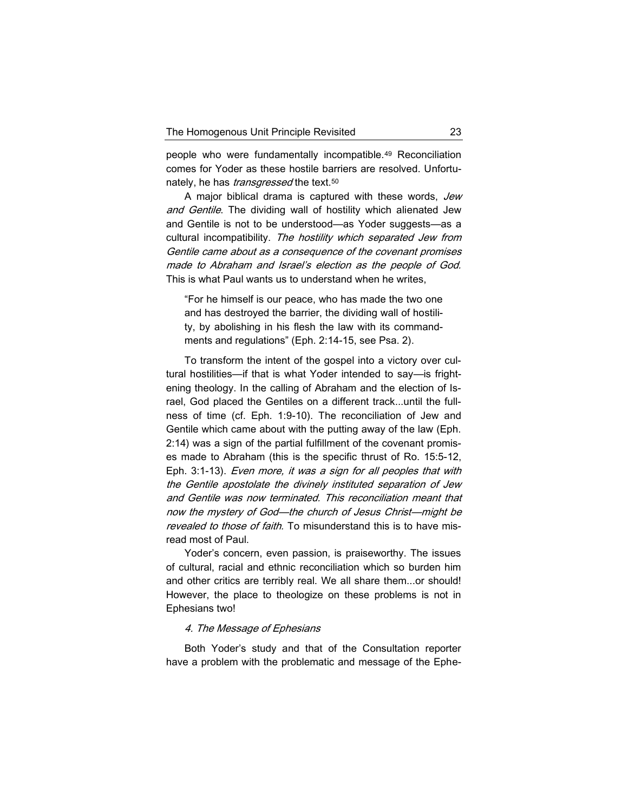people who were fundamentally incompatible.<sup>49</sup> Reconciliation comes for Yoder as these hostile barriers are resolved. Unfortunately, he has *transgressed* the text.<sup>50</sup>

A major biblical drama is captured with these words, Jew and Gentile. The dividing wall of hostility which alienated Jew and Gentile is not to be understood—as Yoder suggests—as a cultural incompatibility. The hostility which separated Jew from Gentile came about as a consequence of the covenant promises made to Abraham and Israel's election as the people of God. This is what Paul wants us to understand when he writes,

"For he himself is our peace, who has made the two one and has destroyed the barrier, the dividing wall of hostility, by abolishing in his flesh the law with its commandments and regulations" (Eph. 2:14-15, see Psa. 2).

To transform the intent of the gospel into a victory over cultural hostilities—if that is what Yoder intended to say—is frightening theology. In the calling of Abraham and the election of Israel, God placed the Gentiles on a different track...until the fullness of time (cf. Eph. 1:9-10). The reconciliation of Jew and Gentile which came about with the putting away of the law (Eph. 2:14) was a sign of the partial fulfillment of the covenant promises made to Abraham (this is the specific thrust of Ro. 15:5-12, Eph. 3:1-13). Even more, it was a sign for all peoples that with the Gentile apostolate the divinely instituted separation of Jew and Gentile was now terminated. This reconciliation meant that now the mystery of God—the church of Jesus Christ—might be revealed to those of faith. To misunderstand this is to have misread most of Paul.

Yoder's concern, even passion, is praiseworthy. The issues of cultural, racial and ethnic reconciliation which so burden him and other critics are terribly real. We all share them...or should! However, the place to theologize on these problems is not in Ephesians two!

## 4. The Message of Ephesians

Both Yoder's study and that of the Consultation reporter have a problem with the problematic and message of the Ephe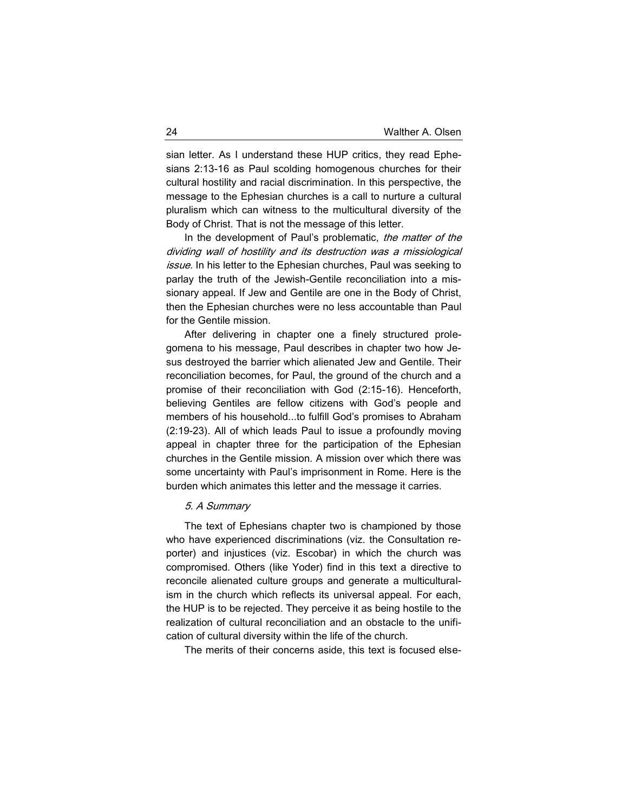sian letter. As I understand these HUP critics, they read Ephesians 2:13-16 as Paul scolding homogenous churches for their cultural hostility and racial discrimination. In this perspective, the message to the Ephesian churches is a call to nurture a cultural pluralism which can witness to the multicultural diversity of the Body of Christ. That is not the message of this letter.

In the development of Paul's problematic, the matter of the dividing wall of hostility and its destruction was a missiological issue. In his letter to the Ephesian churches, Paul was seeking to parlay the truth of the Jewish-Gentile reconciliation into a missionary appeal. If Jew and Gentile are one in the Body of Christ, then the Ephesian churches were no less accountable than Paul for the Gentile mission.

After delivering in chapter one a finely structured prolegomena to his message, Paul describes in chapter two how Jesus destroyed the barrier which alienated Jew and Gentile. Their reconciliation becomes, for Paul, the ground of the church and a promise of their reconciliation with God (2:15-16). Henceforth, believing Gentiles are fellow citizens with God's people and members of his household...to fulfill God's promises to Abraham (2:19-23). All of which leads Paul to issue a profoundly moving appeal in chapter three for the participation of the Ephesian churches in the Gentile mission. A mission over which there was some uncertainty with Paul's imprisonment in Rome. Here is the burden which animates this letter and the message it carries.

### 5. A Summary

The text of Ephesians chapter two is championed by those who have experienced discriminations (viz. the Consultation reporter) and injustices (viz. Escobar) in which the church was compromised. Others (like Yoder) find in this text a directive to reconcile alienated culture groups and generate a multiculturalism in the church which reflects its universal appeal. For each, the HUP is to be rejected. They perceive it as being hostile to the realization of cultural reconciliation and an obstacle to the unification of cultural diversity within the life of the church.

The merits of their concerns aside, this text is focused else-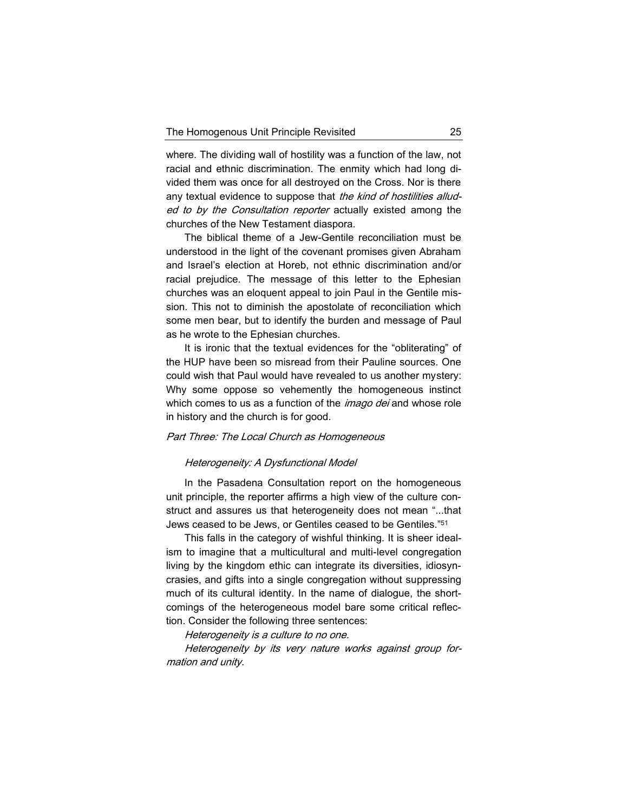where. The dividing wall of hostility was a function of the law, not racial and ethnic discrimination. The enmity which had long divided them was once for all destroyed on the Cross. Nor is there any textual evidence to suppose that the kind of hostilities alluded to by the Consultation reporter actually existed among the churches of the New Testament diaspora.

The biblical theme of a Jew-Gentile reconciliation must be understood in the light of the covenant promises given Abraham and Israel's election at Horeb, not ethnic discrimination and/or racial prejudice. The message of this letter to the Ephesian churches was an eloquent appeal to join Paul in the Gentile mission. This not to diminish the apostolate of reconciliation which some men bear, but to identify the burden and message of Paul as he wrote to the Ephesian churches.

It is ironic that the textual evidences for the "obliterating" of the HUP have been so misread from their Pauline sources. One could wish that Paul would have revealed to us another mystery: Why some oppose so vehemently the homogeneous instinct which comes to us as a function of the *imago dei* and whose role in history and the church is for good.

## Part Three: The Local Church as Homogeneous

## Heterogeneity: A Dysfunctional Model

In the Pasadena Consultation report on the homogeneous unit principle, the reporter affirms a high view of the culture construct and assures us that heterogeneity does not mean "...that Jews ceased to be Jews, or Gentiles ceased to be Gentiles."<sup>51</sup>

This falls in the category of wishful thinking. It is sheer idealism to imagine that a multicultural and multi-level congregation living by the kingdom ethic can integrate its diversities, idiosyncrasies, and gifts into a single congregation without suppressing much of its cultural identity. In the name of dialogue, the shortcomings of the heterogeneous model bare some critical reflection. Consider the following three sentences:

Heterogeneity is a culture to no one.

Heterogeneity by its very nature works against group formation and unity.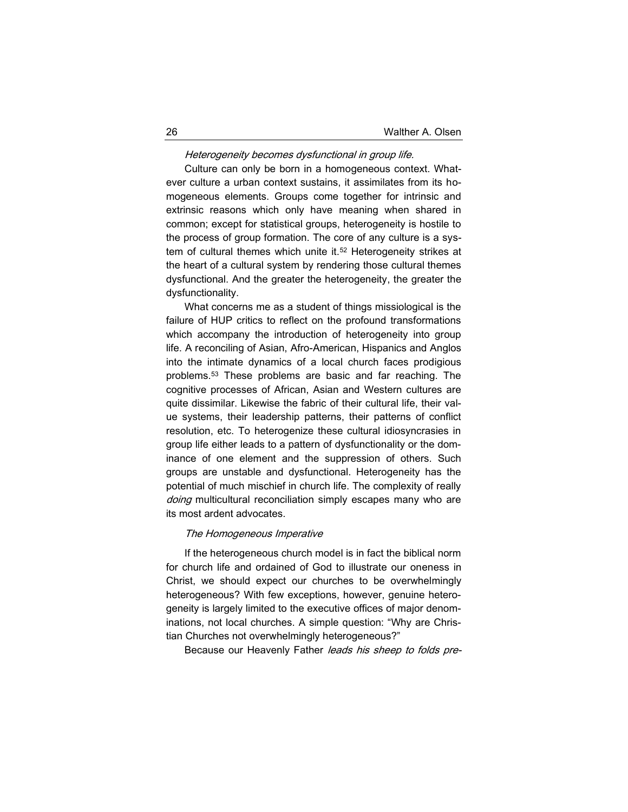# Heterogeneity becomes dysfunctional in group life.

Culture can only be born in a homogeneous context. Whatever culture a urban context sustains, it assimilates from its homogeneous elements. Groups come together for intrinsic and extrinsic reasons which only have meaning when shared in common; except for statistical groups, heterogeneity is hostile to the process of group formation. The core of any culture is a system of cultural themes which unite it.<sup>52</sup> Heterogeneity strikes at the heart of a cultural system by rendering those cultural themes dysfunctional. And the greater the heterogeneity, the greater the dysfunctionality.

What concerns me as a student of things missiological is the failure of HUP critics to reflect on the profound transformations which accompany the introduction of heterogeneity into group life. A reconciling of Asian, Afro-American, Hispanics and Anglos into the intimate dynamics of a local church faces prodigious problems.<sup>53</sup> These problems are basic and far reaching. The cognitive processes of African, Asian and Western cultures are quite dissimilar. Likewise the fabric of their cultural life, their value systems, their leadership patterns, their patterns of conflict resolution, etc. To heterogenize these cultural idiosyncrasies in group life either leads to a pattern of dysfunctionality or the dominance of one element and the suppression of others. Such groups are unstable and dysfunctional. Heterogeneity has the potential of much mischief in church life. The complexity of really doing multicultural reconciliation simply escapes many who are its most ardent advocates.

### The Homogeneous Imperative

If the heterogeneous church model is in fact the biblical norm for church life and ordained of God to illustrate our oneness in Christ, we should expect our churches to be overwhelmingly heterogeneous? With few exceptions, however, genuine heterogeneity is largely limited to the executive offices of major denominations, not local churches. A simple question: "Why are Christian Churches not overwhelmingly heterogeneous?"

Because our Heavenly Father leads his sheep to folds pre-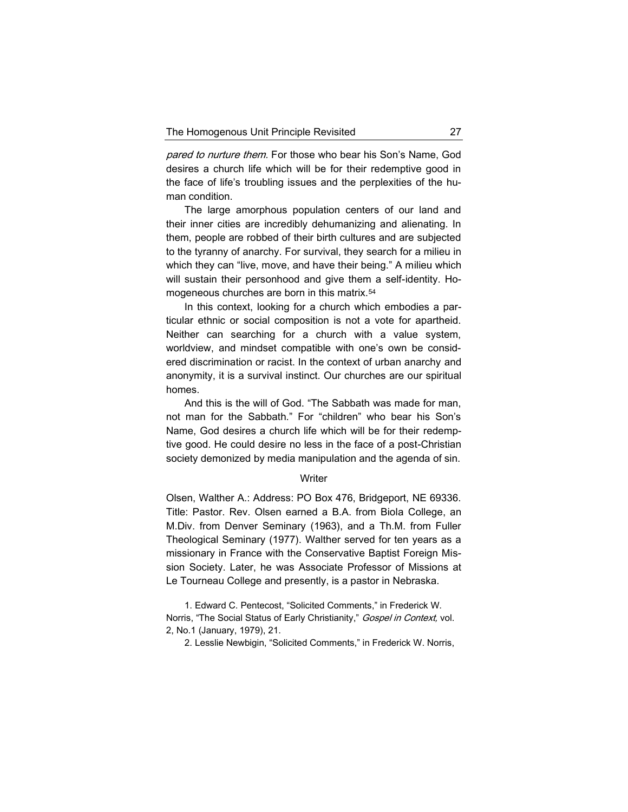pared to nurture them. For those who bear his Son's Name, God desires a church life which will be for their redemptive good in the face of life's troubling issues and the perplexities of the human condition.

The large amorphous population centers of our land and their inner cities are incredibly dehumanizing and alienating. In them, people are robbed of their birth cultures and are subjected to the tyranny of anarchy. For survival, they search for a milieu in which they can "live, move, and have their being." A milieu which will sustain their personhood and give them a self-identity. Homogeneous churches are born in this matrix.<sup>54</sup>

In this context, looking for a church which embodies a particular ethnic or social composition is not a vote for apartheid. Neither can searching for a church with a value system, worldview, and mindset compatible with one's own be considered discrimination or racist. In the context of urban anarchy and anonymity, it is a survival instinct. Our churches are our spiritual homes.

And this is the will of God. "The Sabbath was made for man, not man for the Sabbath." For "children" who bear his Son's Name, God desires a church life which will be for their redemptive good. He could desire no less in the face of a post-Christian society demonized by media manipulation and the agenda of sin.

#### **Writer**

Olsen, Walther A.: Address: PO Box 476, Bridgeport, NE 69336. Title: Pastor. Rev. Olsen earned a B.A. from Biola College, an M.Div. from Denver Seminary (1963), and a Th.M. from Fuller Theological Seminary (1977). Walther served for ten years as a missionary in France with the Conservative Baptist Foreign Mission Society. Later, he was Associate Professor of Missions at Le Tourneau College and presently, is a pastor in Nebraska.

1. Edward C. Pentecost, "Solicited Comments," in Frederick W. Norris, "The Social Status of Early Christianity," Gospel in Context, vol. 2, No.1 (January, 1979), 21.

2. Lesslie Newbigin, "Solicited Comments," in Frederick W. Norris,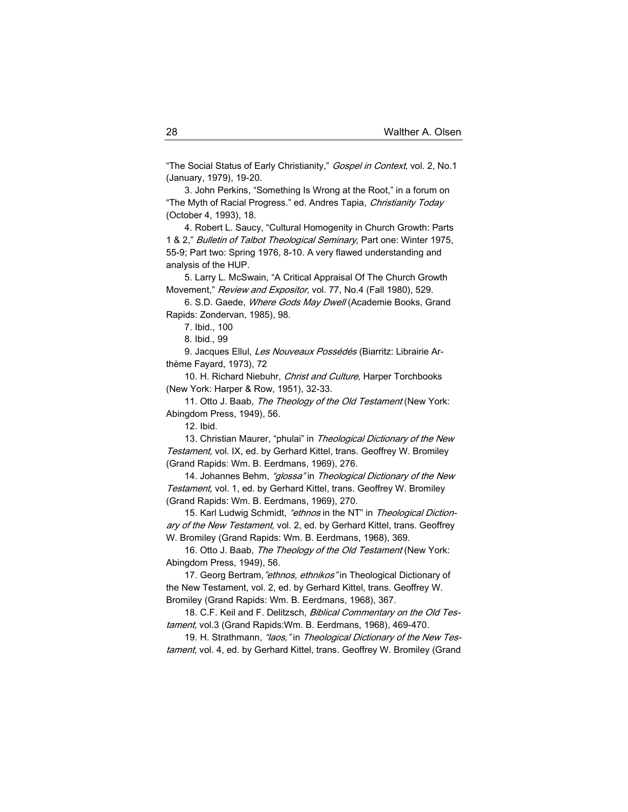"The Social Status of Early Christianity," Gospel in Context, vol. 2, No.1 (January, 1979), 19-20.

3. John Perkins, "Something Is Wrong at the Root," in a forum on "The Myth of Racial Progress." ed. Andres Tapia, Christianity Today (October 4, 1993), 18.

4. Robert L. Saucy, "Cultural Homogenity in Church Growth: Parts 1 & 2," Bulletin of Talbot Theological Seminary, Part one: Winter 1975, 55-9; Part two: Spring 1976, 8-10. A very flawed understanding and analysis of the HUP.

5. Larry L. McSwain, "A Critical Appraisal Of The Church Growth Movement," Review and Expositor, vol. 77, No.4 (Fall 1980), 529.

6. S.D. Gaede, Where Gods May Dwell (Academie Books, Grand Rapids: Zondervan, 1985), 98.

7. Ibid., 100

8. Ibid., 99

9. Jacques Ellul, Les Nouveaux Possédés (Biarritz: Librairie Arthème Fayard, 1973), 72

10. H. Richard Niebuhr, Christ and Culture, Harper Torchbooks (New York: Harper & Row, 1951), 32-33.

11. Otto J. Baab, The Theology of the Old Testament (New York: Abingdom Press, 1949), 56.

12. Ibid.

13. Christian Maurer, "phulai" in Theological Dictionary of the New Testament, vol. IX, ed. by Gerhard Kittel, trans. Geoffrey W. Bromiley (Grand Rapids: Wm. B. Eerdmans, 1969), 276.

14. Johannes Behm, "glossa" in Theological Dictionary of the New Testament, vol. 1, ed. by Gerhard Kittel, trans. Geoffrey W. Bromiley (Grand Rapids: Wm. B. Eerdmans, 1969), 270.

15. Karl Ludwig Schmidt, "ethnos in the NT" in Theological Dictionary of the New Testament, vol. 2, ed. by Gerhard Kittel, trans. Geoffrey W. Bromiley (Grand Rapids: Wm. B. Eerdmans, 1968), 369.

16. Otto J. Baab, The Theology of the Old Testament (New York: Abingdom Press, 1949), 56.

17. Georg Bertram, "ethnos, ethnikos" in Theological Dictionary of the New Testament, vol. 2, ed. by Gerhard Kittel, trans. Geoffrey W. Bromiley (Grand Rapids: Wm. B. Eerdmans, 1968), 367.

18. C.F. Keil and F. Delitzsch, Biblical Commentary on the Old Testament, vol.3 (Grand Rapids: Wm. B. Eerdmans, 1968), 469-470.

19. H. Strathmann, "laos," in Theological Dictionary of the New Testament, vol. 4, ed. by Gerhard Kittel, trans. Geoffrey W. Bromiley (Grand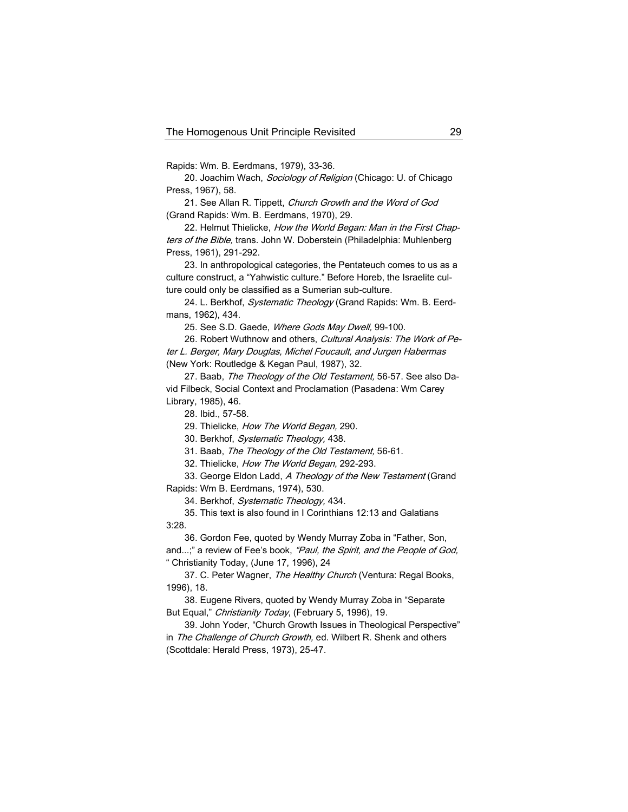Rapids: Wm. B. Eerdmans, 1979), 33-36.

20. Joachim Wach, Sociology of Religion (Chicago: U. of Chicago Press, 1967), 58.

21. See Allan R. Tippett, Church Growth and the Word of God (Grand Rapids: Wm. B. Eerdmans, 1970), 29.

22. Helmut Thielicke, How the World Began: Man in the First Chapters of the Bible, trans. John W. Doberstein (Philadelphia: Muhlenberg Press, 1961), 291-292.

23. In anthropological categories, the Pentateuch comes to us as a culture construct, a "Yahwistic culture." Before Horeb, the Israelite culture could only be classified as a Sumerian sub-culture.

24. L. Berkhof, Systematic Theology (Grand Rapids: Wm. B. Eerdmans, 1962), 434.

25. See S.D. Gaede, Where Gods May Dwell, 99-100.

26. Robert Wuthnow and others, Cultural Analysis: The Work of Peter L. Berger, Mary Douglas, Michel Foucault, and Jurgen Habermas (New York: Routledge & Kegan Paul, 1987), 32.

27. Baab, The Theology of the Old Testament, 56-57. See also David Filbeck, Social Context and Proclamation (Pasadena: Wm Carey Library, 1985), 46.

28. Ibid., 57-58.

29. Thielicke, How The World Began, 290.

30. Berkhof, Systematic Theology, 438.

31. Baab, The Theology of the Old Testament, 56-61.

32. Thielicke, How The World Began, 292-293.

33. George Eldon Ladd, A Theology of the New Testament (Grand Rapids: Wm B. Eerdmans, 1974), 530.

34. Berkhof, Systematic Theology, 434.

35. This text is also found in I Corinthians 12:13 and Galatians 3:28.

36. Gordon Fee, quoted by Wendy Murray Zoba in "Father, Son, and...;" a review of Fee's book, "Paul, the Spirit, and the People of God, " Christianity Today, (June 17, 1996), 24

37. C. Peter Wagner, The Healthy Church (Ventura: Regal Books, 1996), 18.

38. Eugene Rivers, quoted by Wendy Murray Zoba in "Separate But Equal," Christianity Today, (February 5, 1996), 19.

39. John Yoder, "Church Growth Issues in Theological Perspective" in The Challenge of Church Growth, ed. Wilbert R. Shenk and others (Scottdale: Herald Press, 1973), 25-47.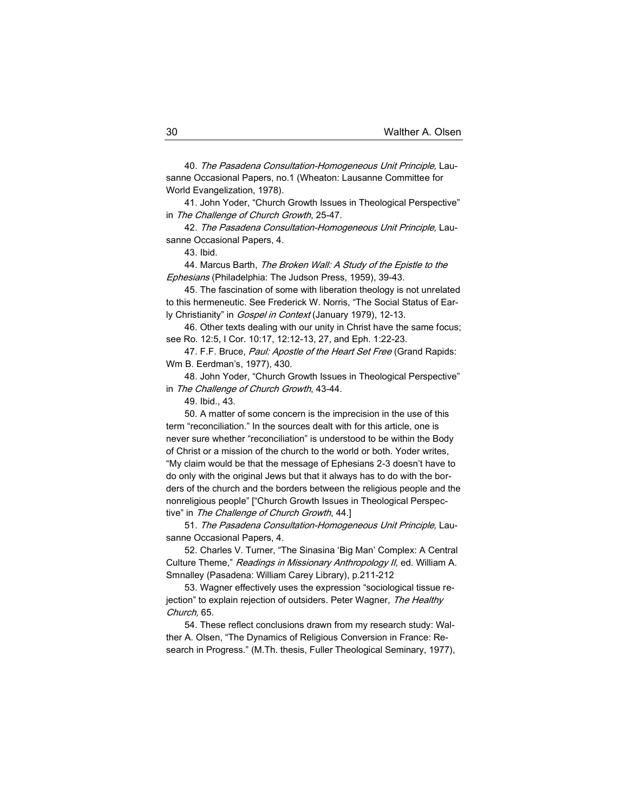40. The Pasadena Consultation-Homogeneous Unit Principle, Lausanne Occasional Papers, no.1 (Wheaton: Lausanne Committee for World Evangelization, 1978).

41. John Yoder, "Church Growth Issues in Theological Perspective" in The Challenge of Church Growth, 25-47.

42. The Pasadena Consultation-Homogeneous Unit Principle, Lausanne Occasional Papers, 4.

43. Ibid.

44. Marcus Barth, The Broken Wall: A Study of the Epistle to the Ephesians (Philadelphia: The Judson Press, 1959), 39-43.

45. The fascination of some with liberation theology is not unrelated to this hermeneutic. See Frederick W. Norris, "The Social Status of Early Christianity" in *Gospel in Context* (January 1979), 12-13.

46. Other texts dealing with our unity in Christ have the same focus; see Ro. 12:5, I Cor. 10:17, 12:12-13, 27, and Eph. 1:22-23.

47. F.F. Bruce, Paul: Apostle of the Heart Set Free (Grand Rapids: Wm B. Eerdman's, 1977), 430.

48. John Yoder, "Church Growth Issues in Theological Perspective" in The Challenge of Church Growth, 43-44.

49. Ibid., 43.

50. A matter of some concern is the imprecision in the use of this term "reconciliation." In the sources dealt with for this article, one is never sure whether "reconciliation" is understood to be within the Body of Christ or a mission of the church to the world or both. Yoder writes, "My claim would be that the message of Ephesians 2-3 doesn't have to do only with the original Jews but that it always has to do with the borders of the church and the borders between the religious people and the nonreligious people" ["Church Growth Issues in Theological Perspective" in The Challenge of Church Growth, 44.]

51. The Pasadena Consultation-Homogeneous Unit Principle, Lausanne Occasional Papers, 4.

52. Charles V. Turner, "The Sinasina 'Big Man' Complex: A Central Culture Theme," Readings in Missionary Anthropology II, ed. William A. Smnalley (Pasadena: William Carey Library), p.211-212

53. Wagner effectively uses the expression "sociological tissue rejection" to explain rejection of outsiders. Peter Wagner, The Healthy Church, 65.

54. These reflect conclusions drawn from my research study: Walther A. Olsen, "The Dynamics of Religious Conversion in France: Research in Progress." (M.Th. thesis, Fuller Theological Seminary, 1977),